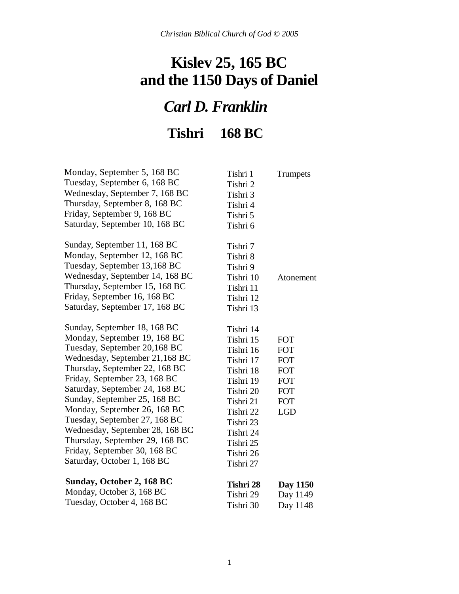### **Kislev 25, 165 BC and the 1150 Days of Daniel**

# *Carl D. Franklin*

**Tishri 168 BC**

| Monday, September 5, 168 BC     | Tishri 1  | Trumpets   |
|---------------------------------|-----------|------------|
| Tuesday, September 6, 168 BC    | Tishri 2  |            |
| Wednesday, September 7, 168 BC  | Tishri 3  |            |
| Thursday, September 8, 168 BC   | Tishri 4  |            |
| Friday, September 9, 168 BC     | Tishri 5  |            |
| Saturday, September 10, 168 BC  | Tishri 6  |            |
| Sunday, September 11, 168 BC    | Tishri 7  |            |
| Monday, September 12, 168 BC    | Tishri 8  |            |
| Tuesday, September 13,168 BC    | Tishri 9  |            |
| Wednesday, September 14, 168 BC | Tishri 10 | Atonement  |
| Thursday, September 15, 168 BC  | Tishri 11 |            |
| Friday, September 16, 168 BC    | Tishri 12 |            |
| Saturday, September 17, 168 BC  | Tishri 13 |            |
| Sunday, September 18, 168 BC    | Tishri 14 |            |
| Monday, September 19, 168 BC    | Tishri 15 | <b>FOT</b> |
| Tuesday, September 20,168 BC    | Tishri 16 | <b>FOT</b> |
| Wednesday, September 21,168 BC  | Tishri 17 | <b>FOT</b> |
| Thursday, September 22, 168 BC  | Tishri 18 | <b>FOT</b> |
| Friday, September 23, 168 BC    | Tishri 19 | <b>FOT</b> |
| Saturday, September 24, 168 BC  | Tishri 20 | <b>FOT</b> |
| Sunday, September 25, 168 BC    | Tishri 21 | <b>FOT</b> |
| Monday, September 26, 168 BC    | Tishri 22 | <b>LGD</b> |
| Tuesday, September 27, 168 BC   | Tishri 23 |            |
| Wednesday, September 28, 168 BC | Tishri 24 |            |
| Thursday, September 29, 168 BC  | Tishri 25 |            |
| Friday, September 30, 168 BC    | Tishri 26 |            |
| Saturday, October 1, 168 BC     | Tishri 27 |            |
| Sunday, October 2, 168 BC       | Tishri 28 | Day 1150   |
| Monday, October 3, 168 BC       | Tishri 29 | Day 1149   |
| Tuesday, October 4, 168 BC      | Tishri 30 | Day 1148   |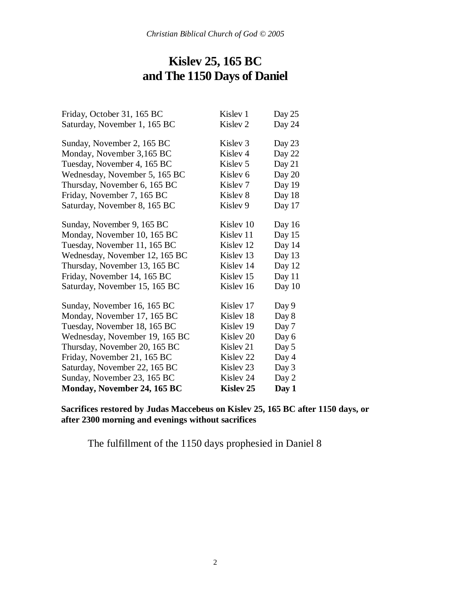### **Kislev 25, 165 BC and The 1150 Days of Daniel**

| Friday, October 31, 165 BC     | Kislev 1             | Day 25 |
|--------------------------------|----------------------|--------|
| Saturday, November 1, 165 BC   | Kislev <sub>2</sub>  | Day 24 |
| Sunday, November 2, 165 BC     | Kislev <sub>3</sub>  | Day 23 |
| Monday, November 3,165 BC      | Kislev <sub>4</sub>  | Day 22 |
| Tuesday, November 4, 165 BC    | Kislev 5             | Day 21 |
| Wednesday, November 5, 165 BC  | Kislev <sub>6</sub>  | Day 20 |
| Thursday, November 6, 165 BC   | Kislev <sub>7</sub>  | Day 19 |
| Friday, November 7, 165 BC     | Kislev 8             | Day 18 |
| Saturday, November 8, 165 BC   | Kislev 9             | Day 17 |
| Sunday, November 9, 165 BC     | Kislev 10            | Day 16 |
| Monday, November 10, 165 BC    | Kislev 11            | Day 15 |
| Tuesday, November 11, 165 BC   | Kislev <sub>12</sub> | Day 14 |
| Wednesday, November 12, 165 BC | Kislev 13            | Day 13 |
| Thursday, November 13, 165 BC  | Kislev 14            | Day 12 |
| Friday, November 14, 165 BC    | Kislev 15            | Day 11 |
| Saturday, November 15, 165 BC  | Kislev 16            | Day 10 |
| Sunday, November 16, 165 BC    | Kislev 17            | Day 9  |
| Monday, November 17, 165 BC    | Kislev 18            | Day 8  |
| Tuesday, November 18, 165 BC   | Kislev 19            | Day 7  |
| Wednesday, November 19, 165 BC | Kislev <sub>20</sub> | Day 6  |
| Thursday, November 20, 165 BC  | Kisley 21            | Day 5  |
| Friday, November 21, 165 BC    | Kislev <sub>22</sub> | Day 4  |
| Saturday, November 22, 165 BC  | Kisley 23            | Day 3  |
| Sunday, November 23, 165 BC    | Kisley 24            | Day 2  |
| Monday, November 24, 165 BC    | <b>Kisley 25</b>     | Day 1  |

**Sacrifices restored by Judas Maccebeus on Kislev 25, 165 BC after 1150 days, or after 2300 morning and evenings without sacrifices**

The fulfillment of the 1150 days prophesied in Daniel 8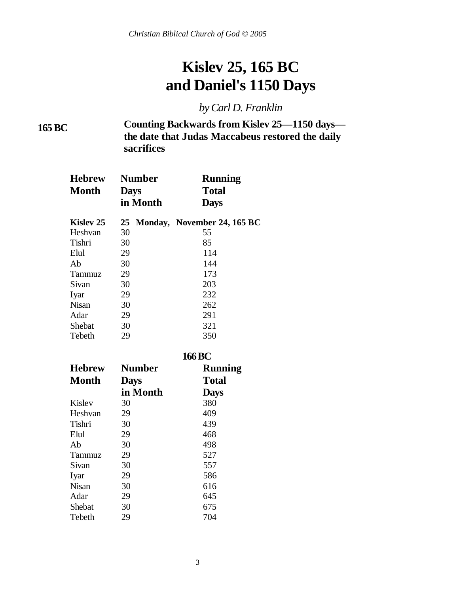## **Kislev 25, 165 BC and Daniel's 1150 Days**

*by Carl D. Franklin*

**165 BC**

**Counting Backwards from Kislev 25—1150 days the date that Judas Maccabeus restored the daily sacrifices**

| <b>Hebrew</b><br><b>Month</b> | <b>Days</b> | <b>Number</b><br>in Month | Running<br><b>Total</b><br><b>Days</b> |
|-------------------------------|-------------|---------------------------|----------------------------------------|
| Kislev 25                     |             |                           | 25 Monday, November 24, 165 BC         |
| Heshvan                       | 30          |                           | 55                                     |
| Tishri                        | 30          |                           | 85                                     |
| Elul                          | 29          |                           | 114                                    |
| Ab                            | 30          |                           | 144                                    |
| Tammuz                        | 29          |                           | 173                                    |
| Sivan                         | 30          |                           | 203                                    |
| Iyar                          | 29          |                           | 232                                    |
| <b>Nisan</b>                  | 30          |                           | 262                                    |
| Adar                          | 29          |                           | 291                                    |
| Shebat                        | 30          |                           | 321                                    |
| Tebeth                        | 29          |                           | 350                                    |
|                               |             |                           | 166 R <i>C</i>                         |

|               | 100 D C       |              |  |
|---------------|---------------|--------------|--|
| <b>Hebrew</b> | <b>Number</b> | Running      |  |
| <b>Month</b>  | <b>Days</b>   | <b>Total</b> |  |
|               | in Month      | <b>Days</b>  |  |
| Kislev        | 30            | 380          |  |
| Heshvan       | 29            | 409          |  |
| Tishri        | 30            | 439          |  |
| Elul          | 29            | 468          |  |
| Ab            | 30            | 498          |  |
| Tammuz        | 29            | 527          |  |
| Sivan         | 30            | 557          |  |
| Iyar          | 29            | 586          |  |
| <b>Nisan</b>  | 30            | 616          |  |
| Adar          | 29            | 645          |  |
| Shebat        | 30            | 675          |  |
| Tebeth        | 29            | 704          |  |